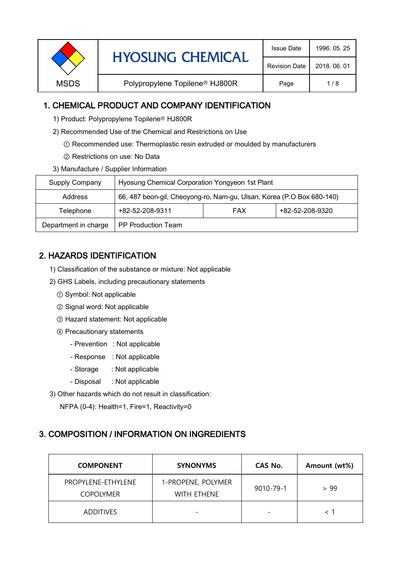| 2018, 06, 01<br><b>Revision Date</b><br>Polypropylene Topilene <sup>®</sup> HJ800R<br><b>MSDS</b><br>1/8<br>Page | <b>HYOSUNG CHEMICAL</b> | <b>Issue Date</b> | 1996, 05, 25 |
|------------------------------------------------------------------------------------------------------------------|-------------------------|-------------------|--------------|
|                                                                                                                  |                         |                   |              |
|                                                                                                                  |                         |                   |              |

## 1. CHEMICAL PRODUCT AND COMPANY IDENTIFICATION

- 1) Product: Polypropylene Topilene<sup>®</sup> HJ800R
- 2) Recommended Use of the Chemical and Restrictions on Use
	- ① Recommended use: Thermoplastic resin extruded or moulded by manufacturers
	- ② Restrictions on use: No Data
- 3) Manufacture / Supplier Information

| Supply Company       | Hyosung Chemical Corporation Yongyeon 1st Plant                       |            |                 |  |
|----------------------|-----------------------------------------------------------------------|------------|-----------------|--|
| Address              | 66, 487 beon-gil, Cheoyong-ro, Nam-gu, Ulsan, Korea (P.O Box 680-140) |            |                 |  |
| Telephone            | +82-52-208-9311                                                       | <b>FAX</b> | +82-52-208-9320 |  |
| Department in charge | <b>PP Production Team</b>                                             |            |                 |  |

## 2. HAZARDS IDENTIFICATION

- 1) Classification of the substance or mixture: Not applicable
- 2) GHS Labels, including precautionary statements
	- ① Symbol: Not applicable
	- ② Signal word: Not applicable
	- ③ Hazard statement: Not applicable
	- ④ Precautionary statements
		- Prevention : Not applicable
		- Response : Not applicable
		- Storage : Not applicable
		- Disposal : Not applicable
- 3) Other hazards which do not result in classification:

NFPA (0-4): Health=1, Fire=1, Reactivity=0

# 3. COMPOSITION / INFORMATION ON INGREDIENTS

| <b>COMPONENT</b>                       | <b>SYNONYMS</b>                   | CAS No.                  | Amount (wt%) |
|----------------------------------------|-----------------------------------|--------------------------|--------------|
| PROPYLENE-ETHYLENE<br><b>COPOLYMER</b> | 1-PROPENE, POLYMER<br>WITH ETHENE | 9010-79-1                | > 99         |
| <b>ADDITIVES</b>                       | $\overline{\phantom{0}}$          | $\overline{\phantom{0}}$ |              |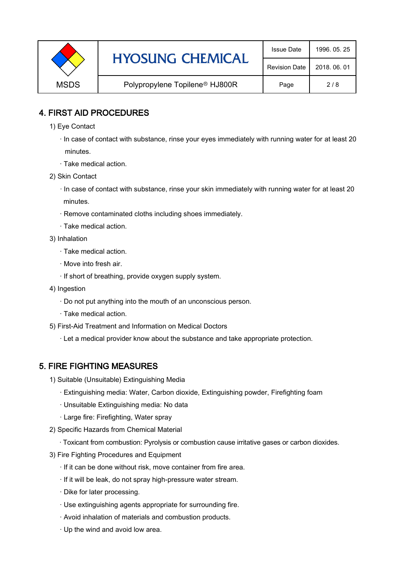|             | <b>HYOSUNG CHEMICAL</b>                    | <b>Issue Date</b>    | 1996, 05, 25 |
|-------------|--------------------------------------------|----------------------|--------------|
|             |                                            | <b>Revision Date</b> | 2018, 06, 01 |
| <b>MSDS</b> | Polypropylene Topilene <sup>®</sup> HJ800R | Page                 | 2/8          |

### 4. FIRST AID PROCEDURES

- 1) Eye Contact
	- · In case of contact with substance, rinse your eyes immediately with running water for at least 20 minutes.
	- · Take medical action.
- 2) Skin Contact
	- · In case of contact with substance, rinse your skin immediately with running water for at least 20 minutes.
	- · Remove contaminated cloths including shoes immediately.
	- · Take medical action.
- 3) Inhalation
	- · Take medical action.
	- · Move into fresh air.
	- · If short of breathing, provide oxygen supply system.
- 4) Ingestion
	- · Do not put anything into the mouth of an unconscious person.
	- · Take medical action.
- 5) First-Aid Treatment and Information on Medical Doctors
	- · Let a medical provider know about the substance and take appropriate protection.

## 5. FIRE FIGHTING MEASURES

- 1) Suitable (Unsuitable) Extinguishing Media
	- · Extinguishing media: Water, Carbon dioxide, Extinguishing powder, Firefighting foam
	- · Unsuitable Extinguishing media: No data
	- · Large fire: Firefighting, Water spray
- 2) Specific Hazards from Chemical Material
	- · Toxicant from combustion: Pyrolysis or combustion cause irritative gases or carbon dioxides.
- 3) Fire Fighting Procedures and Equipment
	- · If it can be done without risk, move container from fire area.
	- · If it will be leak, do not spray high-pressure water stream.
	- · Dike for later processing.
	- · Use extinguishing agents appropriate for surrounding fire.
	- · Avoid inhalation of materials and combustion products.
	- · Up the wind and avoid low area.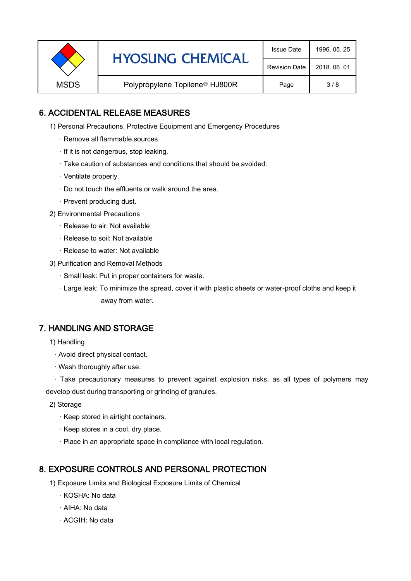|             | <b>HYOSUNG CHEMICAL</b>                    | <b>Issue Date</b>    | 1996, 05, 25 |
|-------------|--------------------------------------------|----------------------|--------------|
|             |                                            | <b>Revision Date</b> | 2018, 06, 01 |
| <b>MSDS</b> | Polypropylene Topilene <sup>®</sup> HJ800R | Page                 | 3/8          |

### 6. ACCIDENTAL RELEASE MEASURES

- 1) Personal Precautions, Protective Equipment and Emergency Procedures
	- · Remove all flammable sources.
	- · If it is not dangerous, stop leaking.
	- · Take caution of substances and conditions that should be avoided.
	- · Ventilate properly.
	- · Do not touch the effluents or walk around the area.
	- · Prevent producing dust.
- 2) Environmental Precautions
	- · Release to air: Not available
	- · Release to soil: Not available
	- · Release to water: Not available
- 3) Purification and Removal Methods
	- · Small leak: Put in proper containers for waste.
	- ,· Large leak: To minimize the spread, cover it with plastic sheets or water-proof cloths and keep it away from water.

### 7. HANDLING AND STORAGE

- 1) Handling
	- · Avoid direct physical contact.
	- · Wash thoroughly after use.

· Take precautionary measures to prevent against explosion risks, as all types of polymers may develop dust during transporting or grinding of granules.

- 2) Storage
	- · Keep stored in airtight containers.
	- · Keep stores in a cool, dry place.
	- · Place in an appropriate space in compliance with local regulation.

### 8. EXPOSURE CONTROLS AND PERSONAL PROTECTION

- 1) Exposure Limits and Biological Exposure Limits of Chemical
	- · KOSHA: No data
	- · AIHA: No data
	- · ACGIH: No data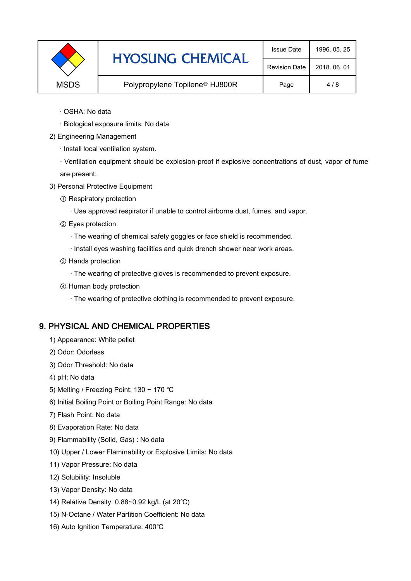|             | <b>HYOSUNG CHEMICAL</b>                    | <b>Issue Date</b>    | 1996, 05, 25 |
|-------------|--------------------------------------------|----------------------|--------------|
|             |                                            | <b>Revision Date</b> | 2018, 06, 01 |
| <b>MSDS</b> | Polypropylene Topilene <sup>®</sup> HJ800R | Page                 | 4/8          |

- · OSHA: No data
- · Biological exposure limits: No data
- 2) Engineering Management
	- · Install local ventilation system.

· Ventilation equipment should be explosion-proof if explosive concentrations of dust, vapor of fume are present.

- 3) Personal Protective Equipment
	- ① Respiratory protection
		- · Use approved respirator if unable to control airborne dust, fumes, and vapor.
	- ② Eyes protection
		- · The wearing of chemical safety goggles or face shield is recommended.
		- · Install eyes washing facilities and quick drench shower near work areas.
	- ③ Hands protection
		- · The wearing of protective gloves is recommended to prevent exposure.
	- ④ Human body protection
		- · The wearing of protective clothing is recommended to prevent exposure.

#### 9. PHYSICAL AND CHEMICAL PROPERTIES

- 1) Appearance: White pellet
- 2) Odor: Odorless
- 3) Odor Threshold: No data
- 4) pH: No data
- 5) Melting / Freezing Point: 130 ~ 170 ℃
- 6) Initial Boiling Point or Boiling Point Range: No data
- 7) Flash Point: No data
- 8) Evaporation Rate: No data
- 9) Flammability (Solid, Gas) : No data
- 10) Upper / Lower Flammability or Explosive Limits: No data
- 11) Vapor Pressure: No data
- 12) Solubility: Insoluble
- 13) Vapor Density: No data
- 14) Relative Density: 0.88~0.92 kg/L (at 20℃)
- 15) N-Octane / Water Partition Coefficient: No data
- 16) Auto Ignition Temperature: 400℃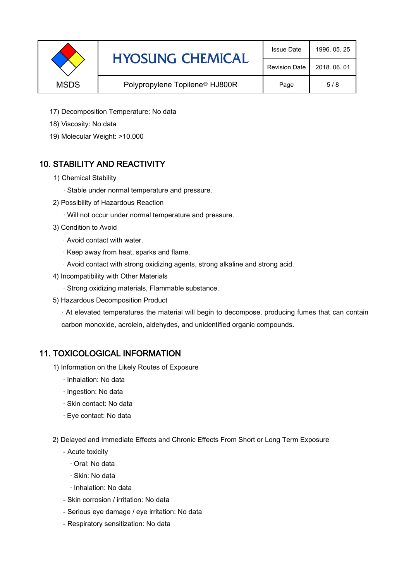|             | <b>HYOSUNG CHEMICAL</b>                    | <b>Issue Date</b>    | 1996, 05, 25 |
|-------------|--------------------------------------------|----------------------|--------------|
|             |                                            | <b>Revision Date</b> | 2018, 06, 01 |
| <b>MSDS</b> | Polypropylene Topilene <sup>®</sup> HJ800R | Page                 | 5/8          |

- 17) Decomposition Temperature: No data
- 18) Viscosity: No data
- 19) Molecular Weight: >10,000

## 10. STABILITY AND REACTIVITY

- 1) Chemical Stability
	- · Stable under normal temperature and pressure.
- 2) Possibility of Hazardous Reaction
	- · Will not occur under normal temperature and pressure.
- 3) Condition to Avoid
	- · Avoid contact with water.
	- · Keep away from heat, sparks and flame.
	- · Avoid contact with strong oxidizing agents, strong alkaline and strong acid.
- 4) Incompatibility with Other Materials
	- · Strong oxidizing materials, Flammable substance.
- 5) Hazardous Decomposition Product

· At elevated temperatures the material will begin to decompose, producing fumes that can contain carbon monoxide, acrolein, aldehydes, and unidentified organic compounds.

### 11. TOXICOLOGICAL INFORMATION

- 1) Information on the Likely Routes of Exposure
	- · Inhalation: No data
	- · Ingestion: No data
	- · Skin contact: No data
	- · Eye contact: No data
- 2) Delayed and Immediate Effects and Chronic Effects From Short or Long Term Exposure
	- Acute toxicity
		- · Oral: No data
		- · Skin: No data
		- · Inhalation: No data
	- Skin corrosion / irritation: No data
	- Serious eye damage / eye irritation: No data
	- Respiratory sensitization: No data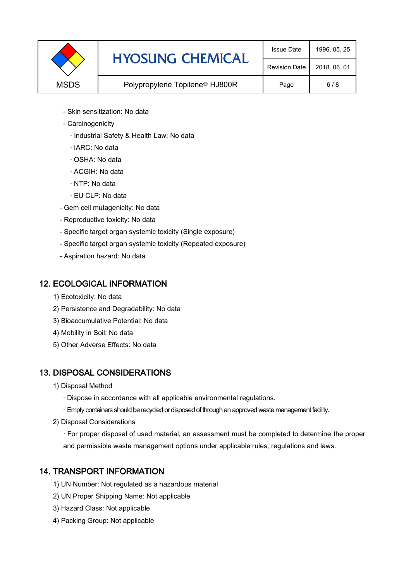

- Skin sensitization: No data
- Carcinogenicity
	- · Industrial Safety & Health Law: No data
	- · IARC: No data
	- · OSHA: No data
	- · ACGIH: No data
	- · NTP: No data
	- · EU CLP: No data
- Gem cell mutagenicity: No data
- Reproductive toxicity: No data
- Specific target organ systemic toxicity (Single exposure)
- Specific target organ systemic toxicity (Repeated exposure)
- Aspiration hazard: No data

### 12. ECOLOGICAL INFORMATION

- 1) Ecotoxicity: No data
- 2) Persistence and Degradability: No data
- 3) Bioaccumulative Potential: No data
- 4) Mobility in Soil: No data
- 5) Other Adverse Effects: No data

## 13. DISPOSAL CONSIDERATIONS

- 1) Disposal Method
	- · Dispose in accordance with all applicable environmental regulations.
	- · Empty containers should be recycled or disposed of through an approved waste management facility.
- 2) Disposal Considerations
	- · For proper disposal of used material, an assessment must be completed to determine the proper and permissible waste management options under applicable rules, regulations and laws.

## 14. TRANSPORT INFORMATION

- 1) UN Number: Not regulated as a hazardous material
- 2) UN Proper Shipping Name: Not applicable
- 3) Hazard Class: Not applicable
- 4) Packing Group: Not applicable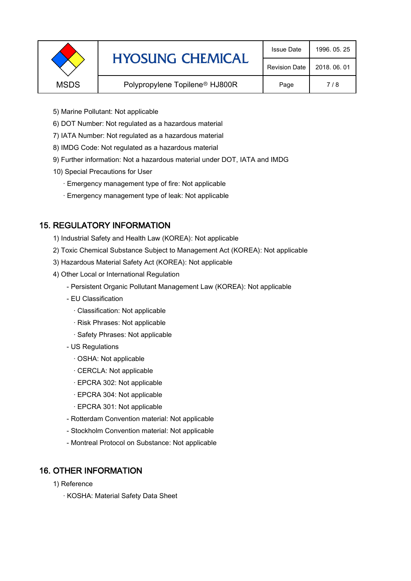|             | <b>HYOSUNG CHEMICAL</b>                    | <b>Issue Date</b>    | 1996, 05, 25 |
|-------------|--------------------------------------------|----------------------|--------------|
|             |                                            | <b>Revision Date</b> | 2018, 06, 01 |
| <b>MSDS</b> | Polypropylene Topilene <sup>®</sup> HJ800R | Page                 | 7/8          |
|             |                                            |                      |              |

- 5) Marine Pollutant: Not applicable
- 6) DOT Number: Not regulated as a hazardous material
- 7) IATA Number: Not regulated as a hazardous material
- 8) IMDG Code: Not regulated as a hazardous material
- 9) Further information: Not a hazardous material under DOT, IATA and IMDG
- 10) Special Precautions for User
	- · Emergency management type of fire: Not applicable
	- · Emergency management type of leak: Not applicable

## 15. REGULATORY INFORMATION

- 1) Industrial Safety and Health Law (KOREA): Not applicable
- 2) Toxic Chemical Substance Subject to Management Act (KOREA): Not applicable
- 3) Hazardous Material Safety Act (KOREA): Not applicable
- 4) Other Local or International Regulation
	- Persistent Organic Pollutant Management Law (KOREA): Not applicable
	- EU Classification
		- · Classification: Not applicable
		- · Risk Phrases: Not applicable
		- · Safety Phrases: Not applicable
	- US Regulations
		- · OSHA: Not applicable
		- · CERCLA: Not applicable
		- · EPCRA 302: Not applicable
		- · EPCRA 304: Not applicable
		- · EPCRA 301: Not applicable
	- Rotterdam Convention material: Not applicable
	- Stockholm Convention material: Not applicable
	- Montreal Protocol on Substance: Not applicable

## 16. OTHER INFORMATION

- 1) Reference
	- · KOSHA: Material Safety Data Sheet